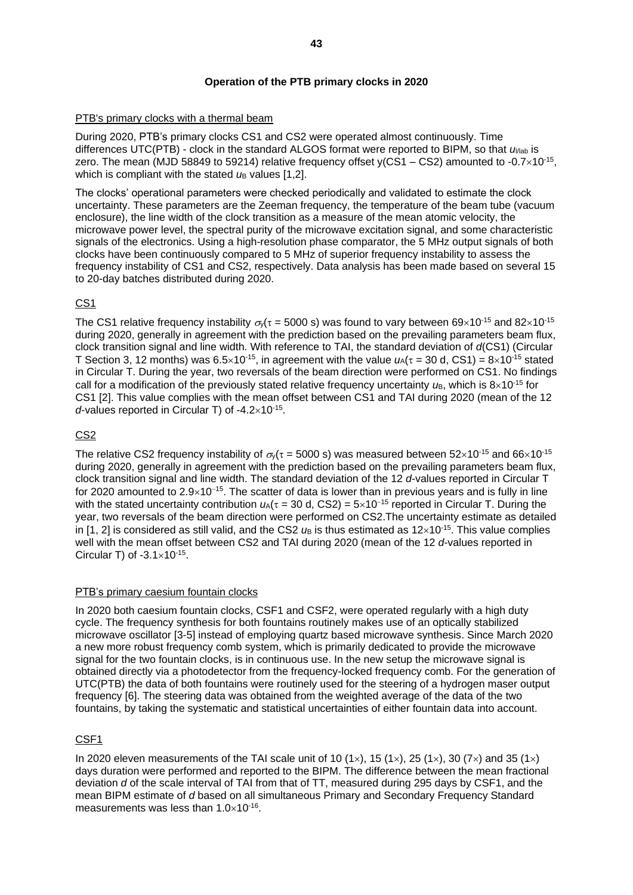# **Operation of the PTB primary clocks in 2020**

#### PTB's primary clocks with a thermal beam

During 2020, PTB's primary clocks CS1 and CS2 were operated almost continuously. Time differences UTC(PTB) - clock in the standard ALGOS format were reported to BIPM, so that *u*l/lab is zero. The mean (MJD 58849 to 59214) relative frequency offset y(CS1 – CS2) amounted to -0.7 $\times$ 10<sup>-15</sup>, which is compliant with the stated *u*<sub>B</sub> values [1,2].

The clocks' operational parameters were checked periodically and validated to estimate the clock uncertainty. These parameters are the Zeeman frequency, the temperature of the beam tube (vacuum enclosure), the line width of the clock transition as a measure of the mean atomic velocity, the microwave power level, the spectral purity of the microwave excitation signal, and some characteristic signals of the electronics. Using a high-resolution phase comparator, the 5 MHz output signals of both clocks have been continuously compared to 5 MHz of superior frequency instability to assess the frequency instability of CS1 and CS2, respectively. Data analysis has been made based on several 15 to 20-day batches distributed during 2020.

## CS1

The CS1 relative frequency instability  $\sigma_{v}(\tau = 5000 \text{ s})$  was found to vary between 69×10<sup>-15</sup> and 82×10<sup>-15</sup> during 2020, generally in agreement with the prediction based on the prevailing parameters beam flux, clock transition signal and line width. With reference to TAI, the standard deviation of *d*(CS1) (Circular T Section 3, 12 months) was  $6.5 \times 10^{-15}$ , in agreement with the value  $u_A(\tau = 30 \text{ d}, \text{CS1}) = 8 \times 10^{-15}$  stated in Circular T. During the year, two reversals of the beam direction were performed on CS1. No findings call for a modification of the previously stated relative frequency uncertainty  $u_{\rm B}$ , which is  $8\times10^{-15}$  for CS1 [2]. This value complies with the mean offset between CS1 and TAI during 2020 (mean of the 12  $d$ -values reported in Circular T) of  $-4.2 \times 10^{-15}$ .

## CS2

The relative CS2 frequency instability of  $\sigma_y(\tau = 5000 \text{ s})$  was measured between 52×10<sup>-15</sup> and 66×10<sup>-15</sup> during 2020, generally in agreement with the prediction based on the prevailing parameters beam flux, clock transition signal and line width. The standard deviation of the 12 *d*-values reported in Circular T for 2020 amounted to 2.9×10<sup>-15</sup>. The scatter of data is lower than in previous years and is fully in line with the stated uncertainty contribution *u*<sub>A</sub>(τ = 30 d, CS2) = 5×10<sup>-15</sup> reported in Circular T. During the year, two reversals of the beam direction were performed on CS2.The uncertainty estimate as detailed in [1, 2] is considered as still valid, and the CS2  $\mu$ <sub>B</sub> is thus estimated as  $12\times10^{-15}$ . This value complies well with the mean offset between CS2 and TAI during 2020 (mean of the 12 *d*-values reported in Circular T) of  $-3.1 \times 10^{-15}$ .

## PTB's primary caesium fountain clocks

In 2020 both caesium fountain clocks, CSF1 and CSF2, were operated regularly with a high duty cycle. The frequency synthesis for both fountains routinely makes use of an optically stabilized microwave oscillator [3-5] instead of employing quartz based microwave synthesis. Since March 2020 a new more robust frequency comb system, which is primarily dedicated to provide the microwave signal for the two fountain clocks, is in continuous use. In the new setup the microwave signal is obtained directly via a photodetector from the frequency-locked frequency comb. For the generation of UTC(PTB) the data of both fountains were routinely used for the steering of a hydrogen maser output frequency [6]. The steering data was obtained from the weighted average of the data of the two fountains, by taking the systematic and statistical uncertainties of either fountain data into account.

## CSF1

In 2020 eleven measurements of the TAI scale unit of 10 (1 $\times$ ), 15 (1 $\times$ ), 25 (1 $\times$ ), 30 (7 $\times$ ) and 35 (1 $\times$ ) days duration were performed and reported to the BIPM. The difference between the mean fractional deviation *d* of the scale interval of TAI from that of TT, measured during 295 days by CSF1, and the mean BIPM estimate of *d* based on all simultaneous Primary and Secondary Frequency Standard measurements was less than  $1.0\times10^{-16}$ .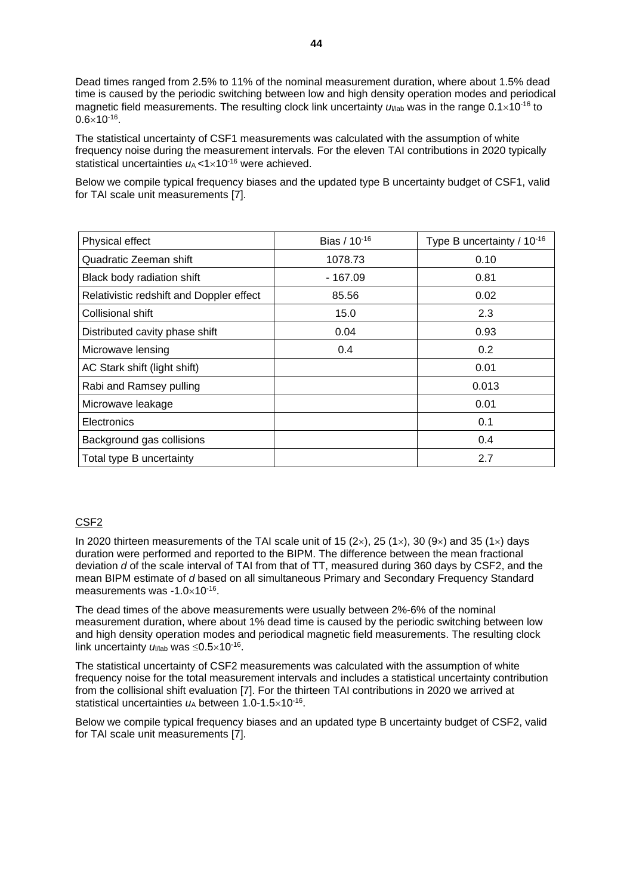Dead times ranged from 2.5% to 11% of the nominal measurement duration, where about 1.5% dead time is caused by the periodic switching between low and high density operation modes and periodical magnetic field measurements. The resulting clock link uncertainty  $u_{\text{Mab}}$  was in the range  $0.1\times10^{-16}$  to  $0.6 \times 10^{-16}$ .

The statistical uncertainty of CSF1 measurements was calculated with the assumption of white frequency noise during the measurement intervals. For the eleven TAI contributions in 2020 typically statistical uncertainties  $u_A < 1 \times 10^{-16}$  were achieved.

Below we compile typical frequency biases and the updated type B uncertainty budget of CSF1, valid for TAI scale unit measurements [7].

| Physical effect                          | Bias / 10-16 | Type B uncertainty / 10-16 |
|------------------------------------------|--------------|----------------------------|
| Quadratic Zeeman shift                   | 1078.73      | 0.10                       |
| Black body radiation shift               | - 167.09     | 0.81                       |
| Relativistic redshift and Doppler effect | 85.56        | 0.02                       |
| Collisional shift                        | 15.0         | 2.3                        |
| Distributed cavity phase shift           | 0.04         | 0.93                       |
| Microwave lensing                        | 0.4          | 0.2                        |
| AC Stark shift (light shift)             |              | 0.01                       |
| Rabi and Ramsey pulling                  |              | 0.013                      |
| Microwave leakage                        |              | 0.01                       |
| Electronics                              |              | 0.1                        |
| Background gas collisions                |              | 0.4                        |
| Total type B uncertainty                 |              | 2.7                        |

#### CSF2

In 2020 thirteen measurements of the TAI scale unit of 15 (2 $\times$ ), 25 (1 $\times$ ), 30 (9 $\times$ ) and 35 (1 $\times$ ) days duration were performed and reported to the BIPM. The difference between the mean fractional deviation *d* of the scale interval of TAI from that of TT, measured during 360 days by CSF2, and the mean BIPM estimate of *d* based on all simultaneous Primary and Secondary Frequency Standard measurements was  $-1.0\times10^{-16}$ .

The dead times of the above measurements were usually between 2%-6% of the nominal measurement duration, where about 1% dead time is caused by the periodic switching between low and high density operation modes and periodical magnetic field measurements. The resulting clock link uncertainty  $u_{\text{Wab}}$  was  $\leq 0.5 \times 10^{-16}$ .

The statistical uncertainty of CSF2 measurements was calculated with the assumption of white frequency noise for the total measurement intervals and includes a statistical uncertainty contribution from the collisional shift evaluation [7]. For the thirteen TAI contributions in 2020 we arrived at statistical uncertainties  $u_A$  between 1.0-1.5 $\times$ 10<sup>-16</sup>.

Below we compile typical frequency biases and an updated type B uncertainty budget of CSF2, valid for TAI scale unit measurements [7].